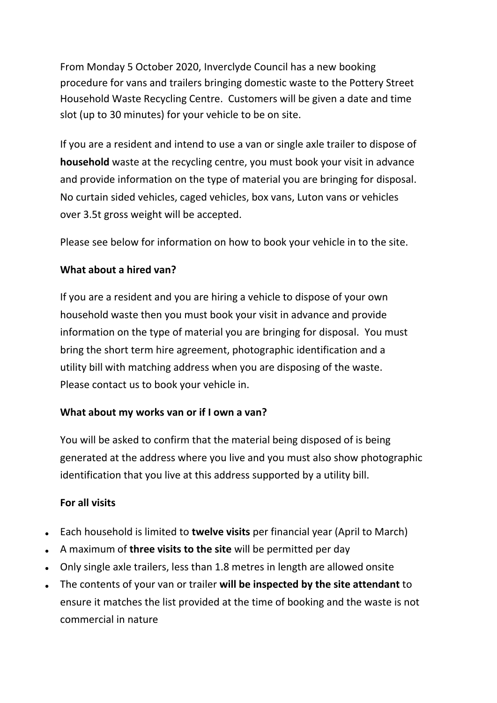From Monday 5 October 2020, Inverclyde Council has a new booking procedure for vans and trailers bringing domestic waste to the Pottery Street Household Waste Recycling Centre. Customers will be given a date and time slot (up to 30 minutes) for your vehicle to be on site.

If you are a resident and intend to use a van or single axle trailer to dispose of **household** waste at the recycling centre, you must [book your visit in advance](https://www.northlanarkshire.gov.uk/index.aspx?articleid=12443)  and provide information on the type of material you are bringing for disposal. No curtain sided vehicles, caged vehicles, box vans, Luton vans or vehicles over 3.5t gross weight will be accepted.

Please see below for information on how to book your vehicle in to the site.

## **What about a hired van?**

If you are a resident and you are hiring a vehicle to dispose of your own household waste then you must [book your visit in advance](https://www.northlanarkshire.gov.uk/index.aspx?articleid=12443) and provide information on the type of material you are bringing for disposal. You must bring the short term hire agreement, photographic identification and a utility bill with matching address when you are disposing of the waste. Please contact us to book your vehicle in.

## **What about my works van or if I own a van?**

You will be asked to confirm that the material being disposed of is being generated at the address where you live and you must also show photographic identification that you live at this address supported by a utility bill.

## **For all visits**

- Each household is limited to **twelve visits** per financial year (April to March)
- A maximum of **three visits to the site** will be permitted per day
- Only single axle trailers, less than 1.8 metres in length are allowed onsite
- The contents of your van or trailer **will be inspected by the site attendant** to ensure it matches the list provided at the time of booking and the waste is not commercial in nature